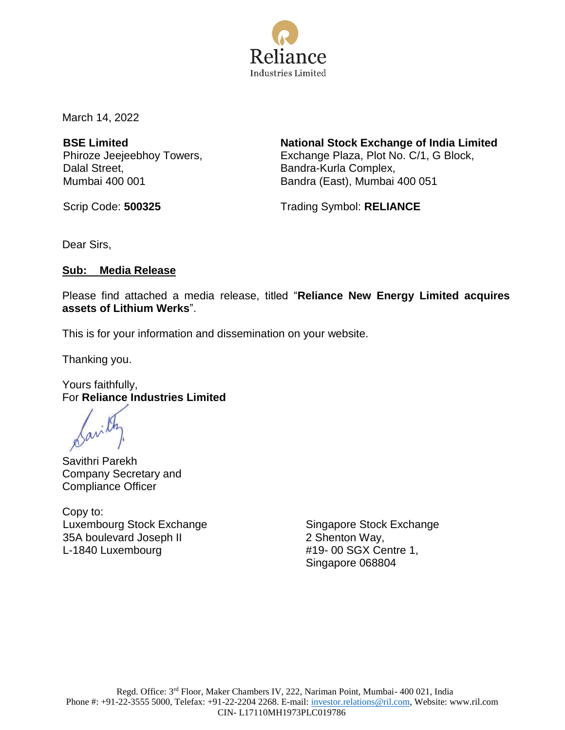

March 14, 2022

**BSE Limited** Phiroze Jeejeebhoy Towers, Dalal Street, Mumbai 400 001

**National Stock Exchange of India Limited** Exchange Plaza, Plot No. C/1, G Block, Bandra-Kurla Complex, Bandra (East), Mumbai 400 051

Scrip Code: **500325** Trading Symbol: **RELIANCE** 

Dear Sirs,

#### **Sub: Media Release**

Please find attached a media release, titled "**Reliance New Energy Limited acquires assets of Lithium Werks**".

This is for your information and dissemination on your website.

Thanking you.

Yours faithfully, For **Reliance Industries Limited**

Savithri Parekh Company Secretary and Compliance Officer

Copy to: Luxembourg Stock Exchange 35A boulevard Joseph II L-1840 Luxembourg

Singapore Stock Exchange 2 Shenton Way, #19- 00 SGX Centre 1, Singapore 068804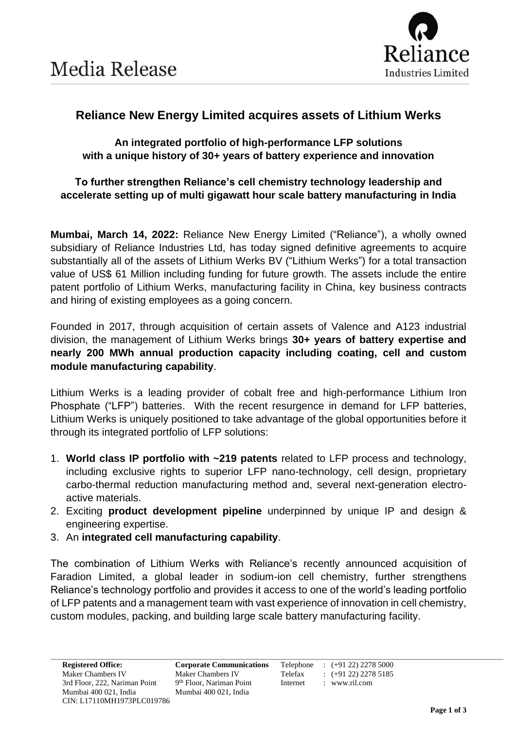

# **Reliance New Energy Limited acquires assets of Lithium Werks**

**An integrated portfolio of high-performance LFP solutions with a unique history of 30+ years of battery experience and innovation**

## **To further strengthen Reliance's cell chemistry technology leadership and accelerate setting up of multi gigawatt hour scale battery manufacturing in India**

**Mumbai, March 14, 2022:** Reliance New Energy Limited ("Reliance"), a wholly owned subsidiary of Reliance Industries Ltd, has today signed definitive agreements to acquire substantially all of the assets of Lithium Werks BV ("Lithium Werks") for a total transaction value of US\$ 61 Million including funding for future growth. The assets include the entire patent portfolio of Lithium Werks, manufacturing facility in China, key business contracts and hiring of existing employees as a going concern.

Founded in 2017, through acquisition of certain assets of Valence and A123 industrial division, the management of Lithium Werks brings **30+ years of battery expertise and nearly 200 MWh annual production capacity including coating, cell and custom module manufacturing capability**.

Lithium Werks is a leading provider of cobalt free and high-performance Lithium Iron Phosphate ("LFP") batteries. With the recent resurgence in demand for LFP batteries, Lithium Werks is uniquely positioned to take advantage of the global opportunities before it through its integrated portfolio of LFP solutions:

- 1. **World class IP portfolio with ~219 patents** related to LFP process and technology, including exclusive rights to superior LFP nano-technology, cell design, proprietary carbo-thermal reduction manufacturing method and, several next-generation electroactive materials.
- 2. Exciting **product development pipeline** underpinned by unique IP and design & engineering expertise.
- 3. An **integrated cell manufacturing capability**.

The combination of Lithium Werks with Reliance's recently announced acquisition of Faradion Limited, a global leader in sodium-ion cell chemistry, further strengthens Reliance's technology portfolio and provides it access to one of the world's leading portfolio of LFP patents and a management team with vast experience of innovation in cell chemistry, custom modules, packing, and building large scale battery manufacturing facility.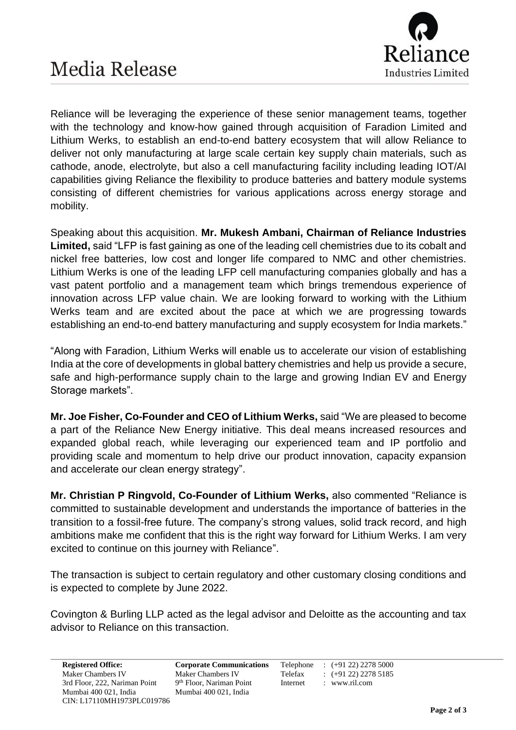

Reliance will be leveraging the experience of these senior management teams, together with the technology and know-how gained through acquisition of Faradion Limited and Lithium Werks, to establish an end-to-end battery ecosystem that will allow Reliance to deliver not only manufacturing at large scale certain key supply chain materials, such as cathode, anode, electrolyte, but also a cell manufacturing facility including leading IOT/AI capabilities giving Reliance the flexibility to produce batteries and battery module systems consisting of different chemistries for various applications across energy storage and mobility.

Speaking about this acquisition. **Mr. Mukesh Ambani, Chairman of Reliance Industries Limited,** said "LFP is fast gaining as one of the leading cell chemistries due to its cobalt and nickel free batteries, low cost and longer life compared to NMC and other chemistries. Lithium Werks is one of the leading LFP cell manufacturing companies globally and has a vast patent portfolio and a management team which brings tremendous experience of innovation across LFP value chain. We are looking forward to working with the Lithium Werks team and are excited about the pace at which we are progressing towards establishing an end-to-end battery manufacturing and supply ecosystem for India markets."

"Along with Faradion, Lithium Werks will enable us to accelerate our vision of establishing India at the core of developments in global battery chemistries and help us provide a secure, safe and high-performance supply chain to the large and growing Indian EV and Energy Storage markets".

**Mr. Joe Fisher, Co-Founder and CEO of Lithium Werks,** said "We are pleased to become a part of the Reliance New Energy initiative. This deal means increased resources and expanded global reach, while leveraging our experienced team and IP portfolio and providing scale and momentum to help drive our product innovation, capacity expansion and accelerate our clean energy strategy".

**Mr. Christian P Ringvold, Co-Founder of Lithium Werks,** also commented "Reliance is committed to sustainable development and understands the importance of batteries in the transition to a fossil-free future. The company's strong values, solid track record, and high ambitions make me confident that this is the right way forward for Lithium Werks. I am very excited to continue on this journey with Reliance".

The transaction is subject to certain regulatory and other customary closing conditions and is expected to complete by June 2022.

Covington & Burling LLP acted as the legal advisor and Deloitte as the accounting and tax advisor to Reliance on this transaction.

9<sup>th</sup> Floor, Nariman Point Internet : www.ril.com

**Registered Office: Corporate Communications** Telephone : (+91 22) 2278 5000